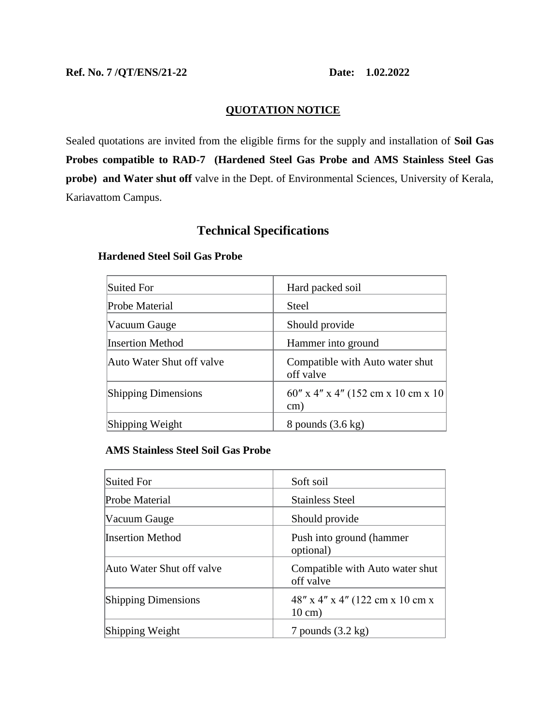## **QUOTATION NOTICE**

Sealed quotations are invited from the eligible firms for the supply and installation of **Soil Gas Probes compatible to RAD-7 (Hardened Steel Gas Probe and AMS Stainless Steel Gas probe) and Water shut off** valve in the Dept. of Environmental Sciences, University of Kerala, Kariavattom Campus.

# **Technical Specifications**

# Suited For **Hard packed soil** Probe Material Steel Vacuum Gauge Should provide Insertion Method Hammer into ground Auto Water Shut off valve **Compatible with Auto water shut** off valve Shipping Dimensions  $60'' \times 4'' \times 4'' (152 \text{ cm} \times 10 \text{ cm} \times 10$ cm) Shipping Weight 8 pounds (3.6 kg)

#### **Hardened Steel Soil Gas Probe**

#### **AMS Stainless Steel Soil Gas Probe**

| Suited For                 | Soft soil                                               |
|----------------------------|---------------------------------------------------------|
| Probe Material             | <b>Stainless Steel</b>                                  |
| Vacuum Gauge               | Should provide                                          |
| <b>Insertion Method</b>    | Push into ground (hammer<br>optional)                   |
| Auto Water Shut off valve  | Compatible with Auto water shut<br>off valve            |
| <b>Shipping Dimensions</b> | $48''$ x 4" x 4" (122 cm x 10 cm x<br>$10 \text{ cm}$ ) |
| Shipping Weight            | 7 pounds $(3.2 \text{ kg})$                             |